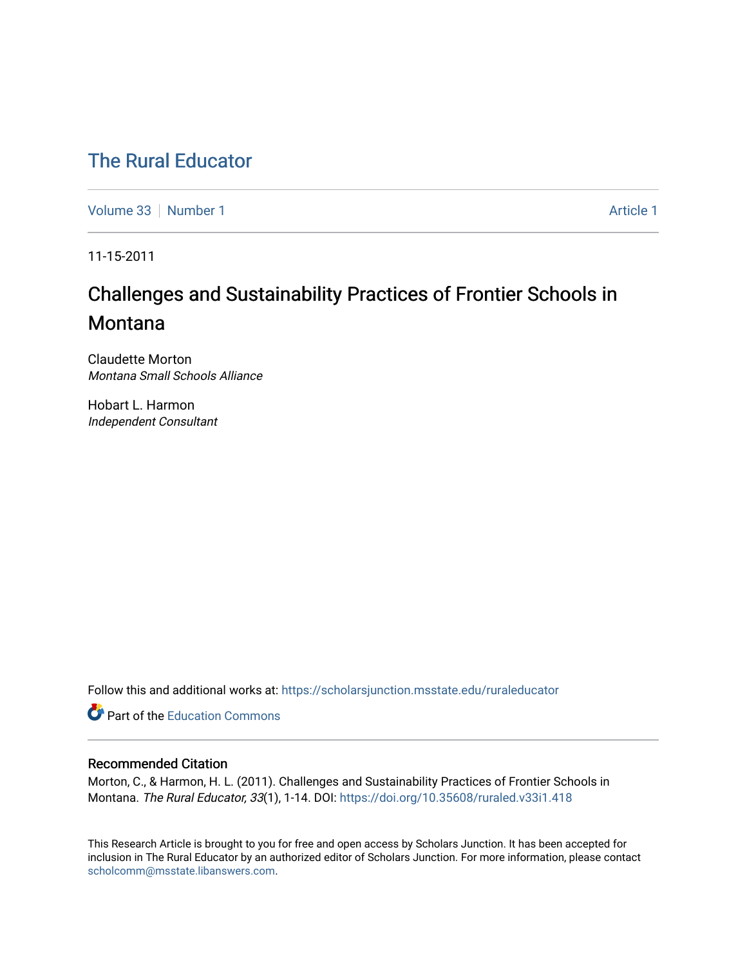## [The Rural Educator](https://scholarsjunction.msstate.edu/ruraleducator)

[Volume 33](https://scholarsjunction.msstate.edu/ruraleducator/vol33) [Number 1](https://scholarsjunction.msstate.edu/ruraleducator/vol33/iss1) Article 1

11-15-2011

# Challenges and Sustainability Practices of Frontier Schools in **Montana**

Claudette Morton Montana Small Schools Alliance

Hobart L. Harmon Independent Consultant

Follow this and additional works at: [https://scholarsjunction.msstate.edu/ruraleducator](https://scholarsjunction.msstate.edu/ruraleducator?utm_source=scholarsjunction.msstate.edu%2Fruraleducator%2Fvol33%2Fiss1%2F1&utm_medium=PDF&utm_campaign=PDFCoverPages)

**C** Part of the [Education Commons](http://network.bepress.com/hgg/discipline/784?utm_source=scholarsjunction.msstate.edu%2Fruraleducator%2Fvol33%2Fiss1%2F1&utm_medium=PDF&utm_campaign=PDFCoverPages)

### Recommended Citation

Morton, C., & Harmon, H. L. (2011). Challenges and Sustainability Practices of Frontier Schools in Montana. The Rural Educator, 33(1), 1-14. DOI: <https://doi.org/10.35608/ruraled.v33i1.418>

This Research Article is brought to you for free and open access by Scholars Junction. It has been accepted for inclusion in The Rural Educator by an authorized editor of Scholars Junction. For more information, please contact [scholcomm@msstate.libanswers.com.](mailto:scholcomm@msstate.libanswers.com)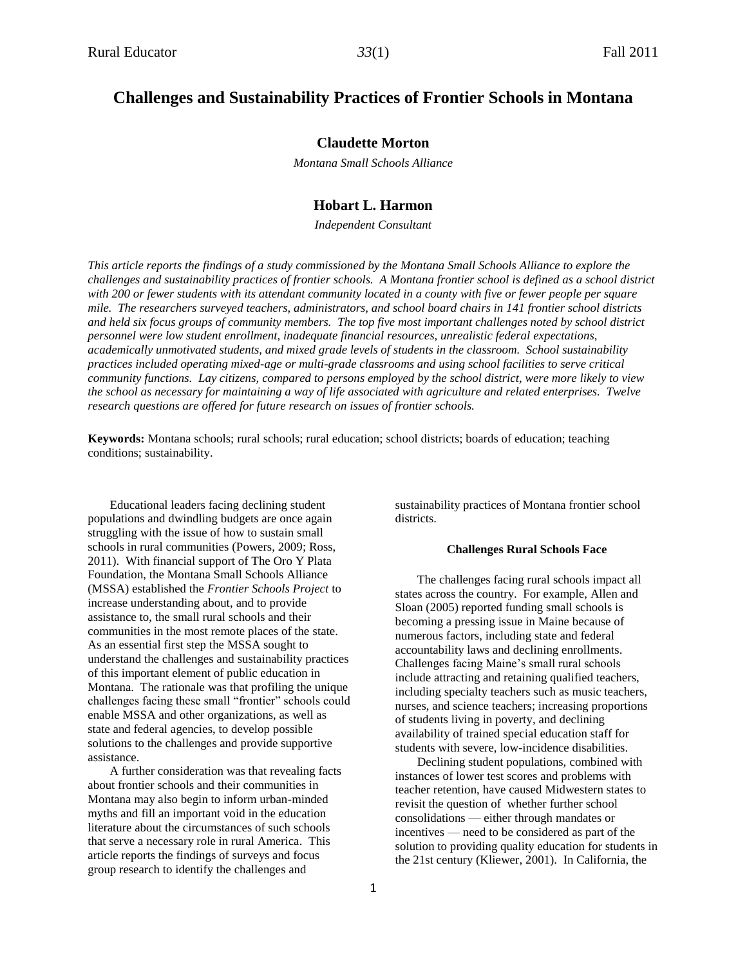## **Challenges and Sustainability Practices of Frontier Schools in Montana**

#### **Claudette Morton**

*Montana Small Schools Alliance*

#### **Hobart L. Harmon**

*Independent Consultant*

*This article reports the findings of a study commissioned by the Montana Small Schools Alliance to explore the challenges and sustainability practices of frontier schools. A Montana frontier school is defined as a school district*  with 200 or fewer students with its attendant community located in a county with five or fewer people per square *mile. The researchers surveyed teachers, administrators, and school board chairs in 141 frontier school districts and held six focus groups of community members. The top five most important challenges noted by school district personnel were low student enrollment, inadequate financial resources, unrealistic federal expectations, academically unmotivated students, and mixed grade levels of students in the classroom. School sustainability practices included operating mixed-age or multi-grade classrooms and using school facilities to serve critical community functions. Lay citizens, compared to persons employed by the school district, were more likely to view the school as necessary for maintaining a way of life associated with agriculture and related enterprises. Twelve research questions are offered for future research on issues of frontier schools.*

**Keywords:** Montana schools; rural schools; rural education; school districts; boards of education; teaching conditions; sustainability.

Educational leaders facing declining student populations and dwindling budgets are once again struggling with the issue of how to sustain small schools in rural communities (Powers, 2009; Ross, 2011). With financial support of The Oro Y Plata Foundation, the Montana Small Schools Alliance (MSSA) established the *Frontier Schools Project* to increase understanding about, and to provide assistance to, the small rural schools and their communities in the most remote places of the state. As an essential first step the MSSA sought to understand the challenges and sustainability practices of this important element of public education in Montana. The rationale was that profiling the unique challenges facing these small "frontier" schools could enable MSSA and other organizations, as well as state and federal agencies, to develop possible solutions to the challenges and provide supportive assistance.

A further consideration was that revealing facts about frontier schools and their communities in Montana may also begin to inform urban-minded myths and fill an important void in the education literature about the circumstances of such schools that serve a necessary role in rural America. This article reports the findings of surveys and focus group research to identify the challenges and

sustainability practices of Montana frontier school districts.

#### **Challenges Rural Schools Face**

The challenges facing rural schools impact all states across the country. For example, Allen and Sloan (2005) reported funding small schools is becoming a pressing issue in Maine because of numerous factors, including state and federal accountability laws and declining enrollments. Challenges facing Maine's small rural schools include attracting and retaining qualified teachers, including specialty teachers such as music teachers, nurses, and science teachers; increasing proportions of students living in poverty, and declining availability of trained special education staff for students with severe, low-incidence disabilities.

Declining student populations, combined with instances of lower test scores and problems with teacher retention, have caused Midwestern states to revisit the question of whether further school consolidations — either through mandates or incentives — need to be considered as part of the solution to providing quality education for students in the 21st century (Kliewer, 2001). In California, the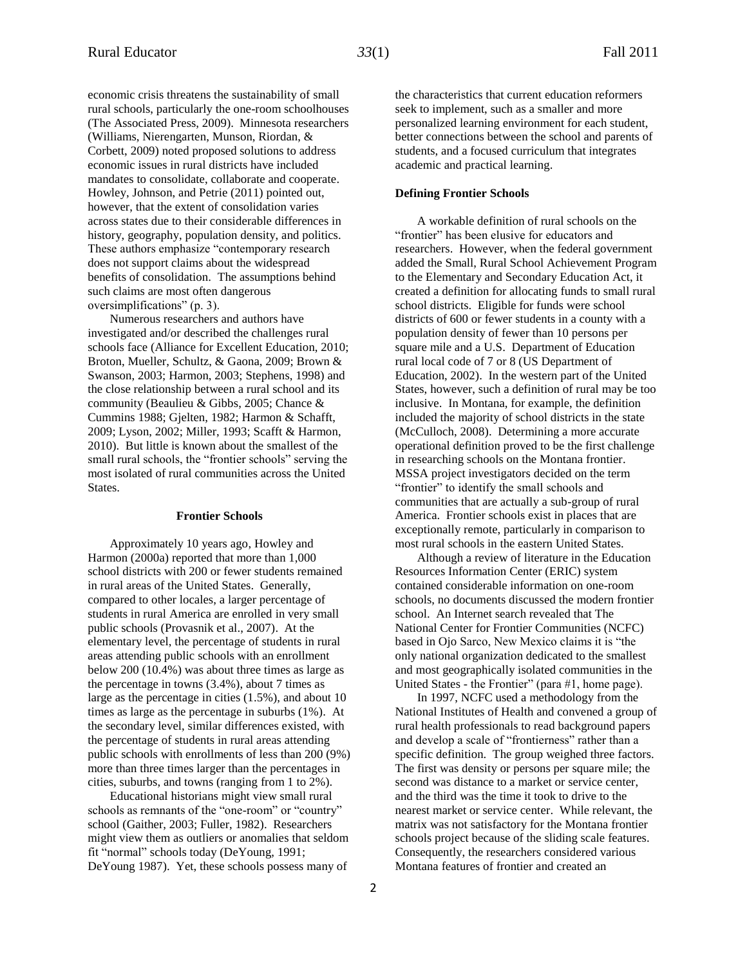economic crisis threatens the sustainability of small rural schools, particularly the one-room schoolhouses (The Associated Press, 2009). Minnesota researchers (Williams, Nierengarten, Munson, Riordan, & Corbett, 2009) noted proposed solutions to address economic issues in rural districts have included mandates to consolidate, collaborate and cooperate. Howley, Johnson, and Petrie (2011) pointed out, however, that the extent of consolidation varies across states due to their considerable differences in history, geography, population density, and politics. These authors emphasize "contemporary research does not support claims about the widespread benefits of consolidation. The assumptions behind such claims are most often dangerous oversimplifications" (p. 3).

Numerous researchers and authors have investigated and/or described the challenges rural schools face (Alliance for Excellent Education, 2010; Broton, Mueller, Schultz, & Gaona, 2009; Brown & Swanson, 2003; Harmon, 2003; Stephens, 1998) and the close relationship between a rural school and its community (Beaulieu & Gibbs, 2005; Chance & Cummins 1988; Gjelten, 1982; Harmon & Schafft, 2009; Lyson, 2002; Miller, 1993; Scafft & Harmon, 2010). But little is known about the smallest of the small rural schools, the "frontier schools" serving the most isolated of rural communities across the United States.

#### **Frontier Schools**

Approximately 10 years ago, Howley and Harmon (2000a) reported that more than 1,000 school districts with 200 or fewer students remained in rural areas of the United States. Generally, compared to other locales, a larger percentage of students in rural America are enrolled in very small public schools (Provasnik et al., 2007). At the elementary level, the percentage of students in rural areas attending public schools with an enrollment below 200 (10.4%) was about three times as large as the percentage in towns (3.4%), about 7 times as large as the percentage in cities (1.5%), and about 10 times as large as the percentage in suburbs (1%). At the secondary level, similar differences existed, with the percentage of students in rural areas attending public schools with enrollments of less than 200 (9%) more than three times larger than the percentages in cities, suburbs, and towns (ranging from 1 to 2%).

Educational historians might view small rural schools as remnants of the "one-room" or "country" school (Gaither, 2003; Fuller, 1982). Researchers might view them as outliers or anomalies that seldom fit "normal" schools today (DeYoung, 1991; DeYoung 1987). Yet, these schools possess many of

the characteristics that current education reformers seek to implement, such as a smaller and more personalized learning environment for each student, better connections between the school and parents of students, and a focused curriculum that integrates academic and practical learning.

#### **Defining Frontier Schools**

A workable definition of rural schools on the "frontier" has been elusive for educators and researchers. However, when the federal government added the Small, Rural School Achievement Program to the Elementary and Secondary Education Act, it created a definition for allocating funds to small rural school districts. Eligible for funds were school districts of 600 or fewer students in a county with a population density of fewer than 10 persons per square mile and a U.S. Department of Education rural local code of 7 or 8 (US Department of Education, 2002). In the western part of the United States, however, such a definition of rural may be too inclusive. In Montana, for example, the definition included the majority of school districts in the state (McCulloch, 2008). Determining a more accurate operational definition proved to be the first challenge in researching schools on the Montana frontier. MSSA project investigators decided on the term "frontier" to identify the small schools and communities that are actually a sub-group of rural America. Frontier schools exist in places that are exceptionally remote, particularly in comparison to most rural schools in the eastern United States.

Although a review of literature in the Education Resources Information Center (ERIC) system contained considerable information on one-room schools, no documents discussed the modern frontier school. An Internet search revealed that The National Center for Frontier Communities (NCFC) based in Ojo Sarco, New Mexico claims it is "the only national organization dedicated to the smallest and most geographically isolated communities in the United States - the Frontier" (para #1, home page).

In 1997, NCFC used a methodology from the National Institutes of Health and convened a group of rural health professionals to read background papers and develop a scale of "frontierness" rather than a specific definition. The group weighed three factors. The first was density or persons per square mile; the second was distance to a market or service center, and the third was the time it took to drive to the nearest market or service center. While relevant, the matrix was not satisfactory for the Montana frontier schools project because of the sliding scale features. Consequently, the researchers considered various Montana features of frontier and created an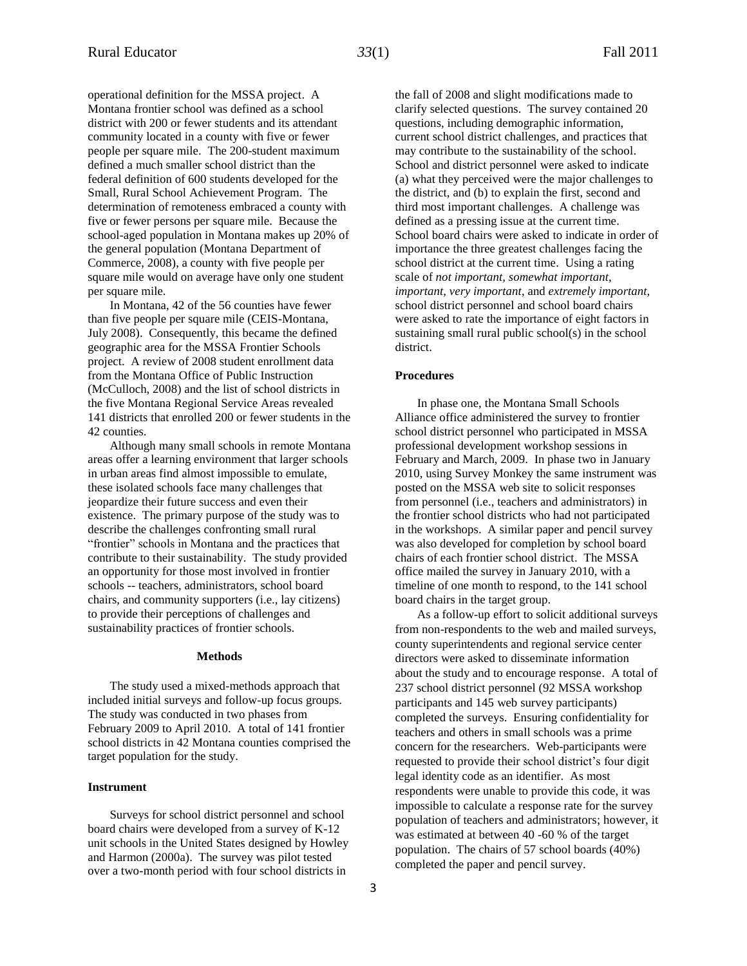operational definition for the MSSA project. A Montana frontier school was defined as a school district with 200 or fewer students and its attendant community located in a county with five or fewer people per square mile. The 200-student maximum defined a much smaller school district than the federal definition of 600 students developed for the Small, Rural School Achievement Program. The determination of remoteness embraced a county with five or fewer persons per square mile. Because the school-aged population in Montana makes up 20% of the general population (Montana Department of Commerce, 2008), a county with five people per square mile would on average have only one student per square mile.

In Montana, 42 of the 56 counties have fewer than five people per square mile (CEIS-Montana, July 2008). Consequently, this became the defined geographic area for the MSSA Frontier Schools project. A review of 2008 student enrollment data from the Montana Office of Public Instruction (McCulloch, 2008) and the list of school districts in the five Montana Regional Service Areas revealed 141 districts that enrolled 200 or fewer students in the 42 counties.

Although many small schools in remote Montana areas offer a learning environment that larger schools in urban areas find almost impossible to emulate, these isolated schools face many challenges that jeopardize their future success and even their existence. The primary purpose of the study was to describe the challenges confronting small rural "frontier" schools in Montana and the practices that contribute to their sustainability. The study provided an opportunity for those most involved in frontier schools -- teachers, administrators, school board chairs, and community supporters (i.e., lay citizens) to provide their perceptions of challenges and sustainability practices of frontier schools.

#### **Methods**

The study used a mixed-methods approach that included initial surveys and follow-up focus groups. The study was conducted in two phases from February 2009 to April 2010. A total of 141 frontier school districts in 42 Montana counties comprised the target population for the study.

#### **Instrument**

Surveys for school district personnel and school board chairs were developed from a survey of K-12 unit schools in the United States designed by Howley and Harmon (2000a). The survey was pilot tested over a two-month period with four school districts in

the fall of 2008 and slight modifications made to clarify selected questions. The survey contained 20 questions, including demographic information, current school district challenges, and practices that may contribute to the sustainability of the school. School and district personnel were asked to indicate (a) what they perceived were the major challenges to the district, and (b) to explain the first, second and third most important challenges. A challenge was defined as a pressing issue at the current time. School board chairs were asked to indicate in order of importance the three greatest challenges facing the school district at the current time. Using a rating scale of *not important, somewhat important, important, very important*, and *extremely important*, school district personnel and school board chairs were asked to rate the importance of eight factors in sustaining small rural public school(s) in the school district.

#### **Procedures**

In phase one, the Montana Small Schools Alliance office administered the survey to frontier school district personnel who participated in MSSA professional development workshop sessions in February and March, 2009. In phase two in January 2010, using Survey Monkey the same instrument was posted on the MSSA web site to solicit responses from personnel (i.e., teachers and administrators) in the frontier school districts who had not participated in the workshops. A similar paper and pencil survey was also developed for completion by school board chairs of each frontier school district. The MSSA office mailed the survey in January 2010, with a timeline of one month to respond, to the 141 school board chairs in the target group.

As a follow-up effort to solicit additional surveys from non-respondents to the web and mailed surveys, county superintendents and regional service center directors were asked to disseminate information about the study and to encourage response. A total of 237 school district personnel (92 MSSA workshop participants and 145 web survey participants) completed the surveys. Ensuring confidentiality for teachers and others in small schools was a prime concern for the researchers. Web-participants were requested to provide their school district's four digit legal identity code as an identifier. As most respondents were unable to provide this code, it was impossible to calculate a response rate for the survey population of teachers and administrators; however, it was estimated at between 40 -60 % of the target population. The chairs of 57 school boards (40%) completed the paper and pencil survey.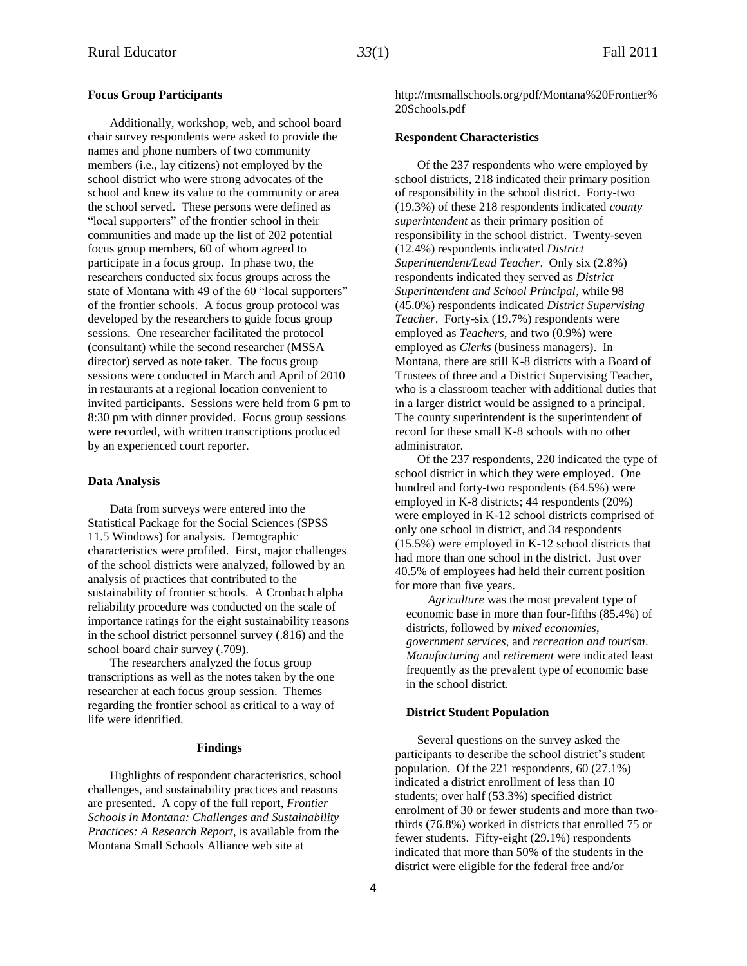#### **Focus Group Participants**

Additionally, workshop, web, and school board chair survey respondents were asked to provide the names and phone numbers of two community members (i.e., lay citizens) not employed by the school district who were strong advocates of the school and knew its value to the community or area the school served. These persons were defined as "local supporters" of the frontier school in their communities and made up the list of 202 potential focus group members, 60 of whom agreed to participate in a focus group. In phase two, the researchers conducted six focus groups across the state of Montana with 49 of the 60 "local supporters" of the frontier schools. A focus group protocol was developed by the researchers to guide focus group sessions. One researcher facilitated the protocol (consultant) while the second researcher (MSSA director) served as note taker. The focus group sessions were conducted in March and April of 2010 in restaurants at a regional location convenient to invited participants. Sessions were held from 6 pm to 8:30 pm with dinner provided. Focus group sessions were recorded, with written transcriptions produced by an experienced court reporter.

#### **Data Analysis**

Data from surveys were entered into the Statistical Package for the Social Sciences (SPSS 11.5 Windows) for analysis. Demographic characteristics were profiled. First, major challenges of the school districts were analyzed, followed by an analysis of practices that contributed to the sustainability of frontier schools. A Cronbach alpha reliability procedure was conducted on the scale of importance ratings for the eight sustainability reasons in the school district personnel survey (.816) and the school board chair survey (.709).

The researchers analyzed the focus group transcriptions as well as the notes taken by the one researcher at each focus group session. Themes regarding the frontier school as critical to a way of life were identified.

#### **Findings**

Highlights of respondent characteristics, school challenges, and sustainability practices and reasons are presented. A copy of the full report, *Frontier Schools in Montana: Challenges and Sustainability Practices: A Research Report*, is available from the Montana Small Schools Alliance web site at

http://mtsmallschools.org/pdf/Montana%20Frontier% 20Schools.pdf

#### **Respondent Characteristics**

Of the 237 respondents who were employed by school districts, 218 indicated their primary position of responsibility in the school district. Forty-two (19.3%) of these 218 respondents indicated *county superintendent* as their primary position of responsibility in the school district. Twenty-seven (12.4%) respondents indicated *District Superintendent/Lead Teacher*. Only six (2.8%) respondents indicated they served as *District Superintendent and School Principal*, while 98 (45.0%) respondents indicated *District Supervising Teacher*. Forty-six (19.7%) respondents were employed as *Teachers*, and two (0.9%) were employed as *Clerks* (business managers). In Montana, there are still K-8 districts with a Board of Trustees of three and a District Supervising Teacher, who is a classroom teacher with additional duties that in a larger district would be assigned to a principal. The county superintendent is the superintendent of record for these small K-8 schools with no other administrator.

Of the 237 respondents, 220 indicated the type of school district in which they were employed. One hundred and forty-two respondents (64.5%) were employed in K-8 districts; 44 respondents (20%) were employed in K-12 school districts comprised of only one school in district, and 34 respondents (15.5%) were employed in K-12 school districts that had more than one school in the district. Just over 40.5% of employees had held their current position for more than five years.

*Agriculture* was the most prevalent type of economic base in more than four-fifths (85.4%) of districts, followed by *mixed economies*, *government services,* and *recreation and tourism*. *Manufacturing* and *retirement* were indicated least frequently as the prevalent type of economic base in the school district.

#### **District Student Population**

Several questions on the survey asked the participants to describe the school district's student population. Of the 221 respondents, 60 (27.1%) indicated a district enrollment of less than 10 students; over half (53.3%) specified district enrolment of 30 or fewer students and more than twothirds (76.8%) worked in districts that enrolled 75 or fewer students. Fifty-eight (29.1%) respondents indicated that more than 50% of the students in the district were eligible for the federal free and/or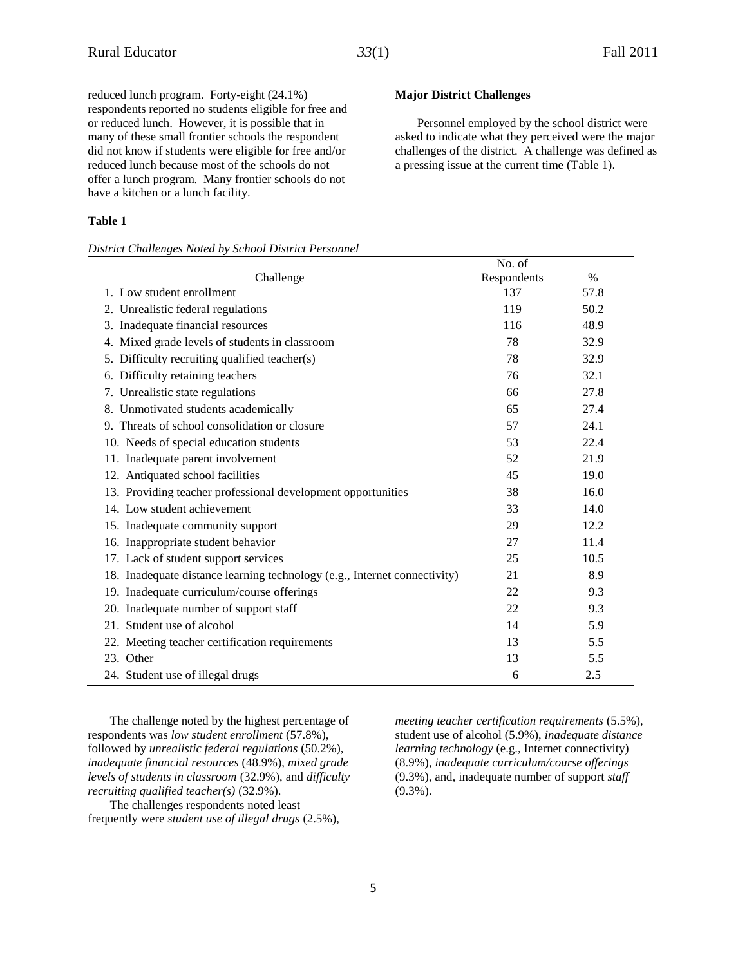**Major District Challenges**

Personnel employed by the school district were asked to indicate what they perceived were the major challenges of the district. A challenge was defined as

a pressing issue at the current time (Table 1).

reduced lunch program. Forty-eight (24.1%) respondents reported no students eligible for free and or reduced lunch. However, it is possible that in many of these small frontier schools the respondent did not know if students were eligible for free and/or reduced lunch because most of the schools do not offer a lunch program. Many frontier schools do not have a kitchen or a lunch facility.

#### **Table 1**

#### *District Challenges Noted by School District Personnel*

## Challenge No. of Respondents % 1. Low student enrollment 137 57.8 2. Unrealistic federal regulations 119 50.2 3. Inadequate financial resources 116 48.9 4. Mixed grade levels of students in classroom 78 32.9 5. Difficulty recruiting qualified teacher(s) 78 32.9 6. Difficulty retaining teachers 76 32.1 7. Unrealistic state regulations 66 27.8 8. Unmotivated students academically 65 27.4 9. Threats of school consolidation or closure 57 24.1 10. Needs of special education students 53 22.4 11. Inadequate parent involvement 52 21.9 12. Antiquated school facilities 45 19.0 13. Providing teacher professional development opportunities 38 16.0 14. Low student achievement 33 14.0 15. Inadequate community support 29 22 16. Inappropriate student behavior 27 11.4 17. Lack of student support services 25 10.5 18. Inadequate distance learning technology (e.g., Internet connectivity) 21 8.9 19. Inadequate curriculum/course offerings 22 9.3 20. Inadequate number of support staff 22 9.3 21. Student use of alcohol 14 5.9 22. Meeting teacher certification requirements 13 5.5 23. Other 13  $5.5$ 24. Student use of illegal drugs 6 2.5

The challenge noted by the highest percentage of respondents was *low student enrollment* (57.8%), followed by *unrealistic federal regulations* (50.2%), *inadequate financial resources* (48.9%), *mixed grade levels of students in classroom* (32.9%), and *difficulty recruiting qualified teacher(s)* (32.9%).

The challenges respondents noted least frequently were *student use of illegal drugs* (2.5%), *meeting teacher certification requirements* (5.5%), student use of alcohol (5.9%), *inadequate distance learning technology* (e.g., Internet connectivity) (8.9%), *inadequate curriculum/course offerings* (9.3%), and, inadequate number of support *staff* (9.3%).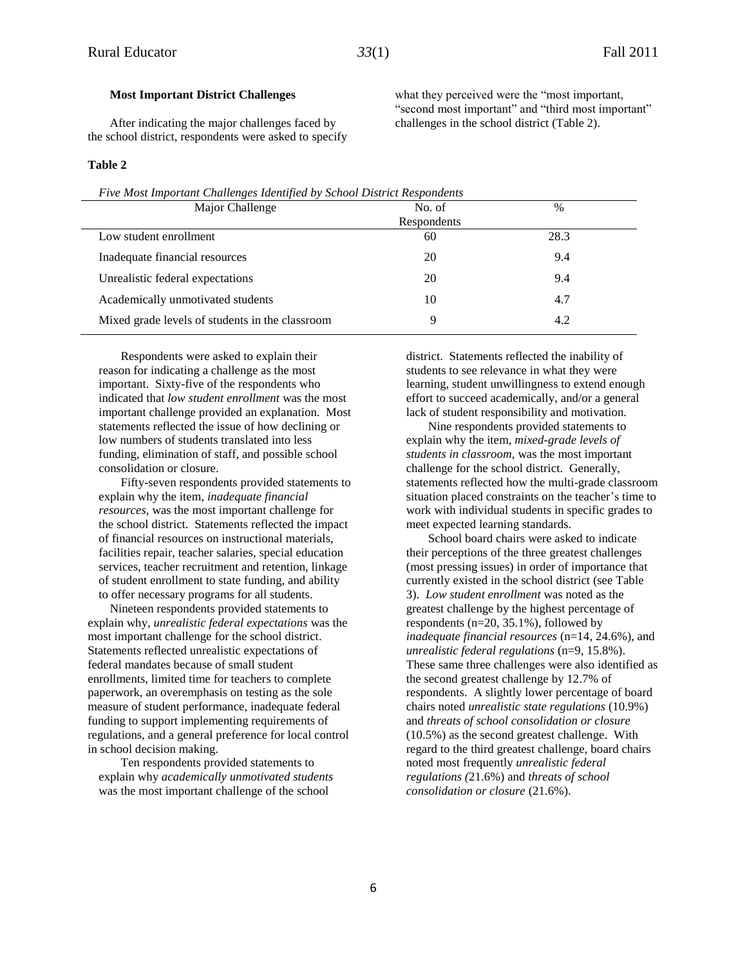#### **Most Important District Challenges**

After indicating the major challenges faced by the school district, respondents were asked to specify

#### **Table 2**

*Five Most Important Challenges Identified by School District Respondents*

| Major Challenge                                 | No. of      | $\frac{0}{0}$ |
|-------------------------------------------------|-------------|---------------|
|                                                 | Respondents |               |
| Low student enrollment                          | 60          | 28.3          |
| Inadequate financial resources                  | 20          | 9.4           |
| Unrealistic federal expectations                | 20          | 9.4           |
| Academically unmotivated students               | 10          | 4.7           |
| Mixed grade levels of students in the classroom | Q           | 4.2           |

Respondents were asked to explain their reason for indicating a challenge as the most important. Sixty-five of the respondents who indicated that *low student enrollment* was the most important challenge provided an explanation. Most statements reflected the issue of how declining or low numbers of students translated into less funding, elimination of staff, and possible school consolidation or closure.

Fifty-seven respondents provided statements to explain why the item, *inadequate financial resources,* was the most important challenge for the school district. Statements reflected the impact of financial resources on instructional materials, facilities repair, teacher salaries, special education services, teacher recruitment and retention, linkage of student enrollment to state funding, and ability to offer necessary programs for all students.

Nineteen respondents provided statements to explain why, *unrealistic federal expectations* was the most important challenge for the school district. Statements reflected unrealistic expectations of federal mandates because of small student enrollments, limited time for teachers to complete paperwork, an overemphasis on testing as the sole measure of student performance, inadequate federal funding to support implementing requirements of regulations, and a general preference for local control in school decision making.

Ten respondents provided statements to explain why *academically unmotivated students* was the most important challenge of the school

district. Statements reflected the inability of students to see relevance in what they were learning, student unwillingness to extend enough effort to succeed academically, and/or a general lack of student responsibility and motivation.

Nine respondents provided statements to explain why the item, *mixed-grade levels of students in classroom,* was the most important challenge for the school district. Generally, statements reflected how the multi-grade classroom situation placed constraints on the teacher's time to work with individual students in specific grades to meet expected learning standards.

School board chairs were asked to indicate their perceptions of the three greatest challenges (most pressing issues) in order of importance that currently existed in the school district (see Table 3). *Low student enrollment* was noted as the greatest challenge by the highest percentage of respondents (n=20, 35.1%), followed by *inadequate financial resources* (n=14, 24.6%), and *unrealistic federal regulations* (n=9, 15.8%). These same three challenges were also identified as the second greatest challenge by 12.7% of respondents. A slightly lower percentage of board chairs noted *unrealistic state regulations* (10.9%) and *threats of school consolidation or closure* (10.5%) as the second greatest challenge. With regard to the third greatest challenge, board chairs noted most frequently *unrealistic federal regulations (*21.6%) and *threats of school consolidation or closure* (21.6%).

what they perceived were the "most important, "second most important" and "third most important" challenges in the school district (Table 2).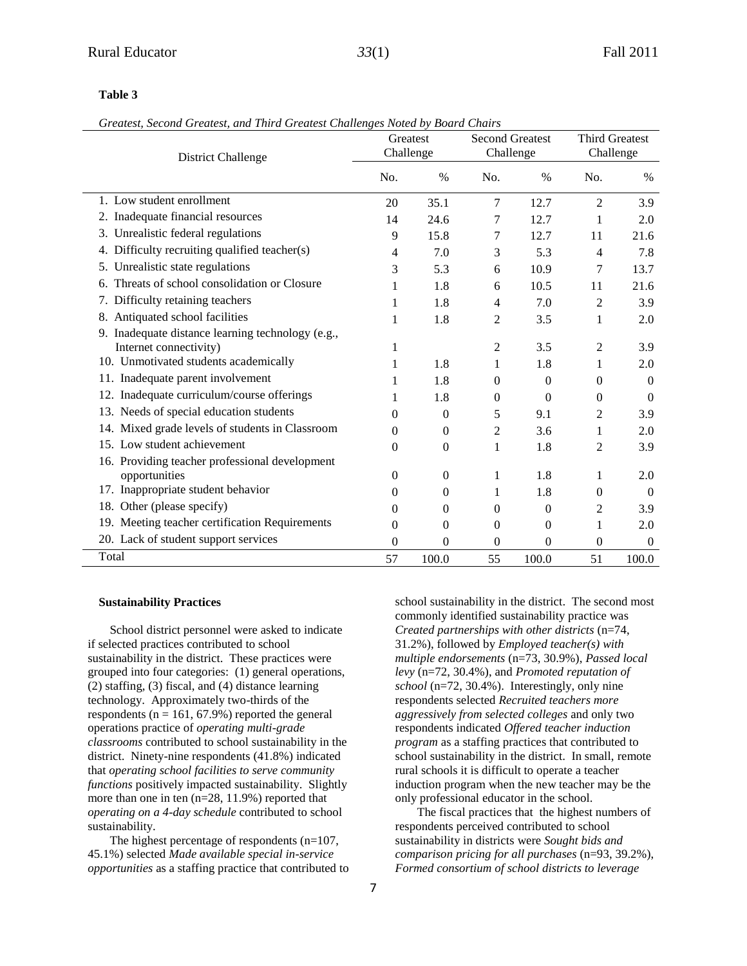#### **Table 3**

|  | Greatest, Second Greatest, and Third Greatest Challenges Noted by Board Chairs |  |  |  |  |  |  |
|--|--------------------------------------------------------------------------------|--|--|--|--|--|--|
|--|--------------------------------------------------------------------------------|--|--|--|--|--|--|

| <b>District Challenge</b>                                                   |                | Greatest<br>Challenge | <b>Second Greatest</b><br>Challenge |                  | <b>Third Greatest</b><br>Challenge |                |
|-----------------------------------------------------------------------------|----------------|-----------------------|-------------------------------------|------------------|------------------------------------|----------------|
|                                                                             | No.            | $\%$                  | No.                                 | $\%$             | No.                                | $\%$           |
| 1. Low student enrollment                                                   | 20             | 35.1                  | 7                                   | 12.7             | $\overline{2}$                     | 3.9            |
| 2. Inadequate financial resources                                           | 14             | 24.6                  | 7                                   | 12.7             | 1                                  | 2.0            |
| 3. Unrealistic federal regulations                                          | 9              | 15.8                  | 7                                   | 12.7             | 11                                 | 21.6           |
| 4. Difficulty recruiting qualified teacher(s)                               | 4              | 7.0                   | 3                                   | 5.3              | 4                                  | 7.8            |
| 5. Unrealistic state regulations                                            | 3              | 5.3                   | 6                                   | 10.9             | 7                                  | 13.7           |
| 6. Threats of school consolidation or Closure                               | 1              | 1.8                   | 6                                   | 10.5             | 11                                 | 21.6           |
| 7. Difficulty retaining teachers                                            | 1              | 1.8                   | $\overline{4}$                      | 7.0              | 2                                  | 3.9            |
| 8. Antiquated school facilities                                             | 1              | 1.8                   | 2                                   | 3.5              | 1                                  | 2.0            |
| 9. Inadequate distance learning technology (e.g.,<br>Internet connectivity) |                |                       | 2                                   | 3.5              | 2                                  | 3.9            |
| 10. Unmotivated students academically                                       | 1              | 1.8                   | 1                                   | 1.8              | 1                                  | 2.0            |
| 11. Inadequate parent involvement                                           | 1              | 1.8                   | $\Omega$                            | $\boldsymbol{0}$ | $\Omega$                           | $\Omega$       |
| 12. Inadequate curriculum/course offerings                                  | 1              | 1.8                   | $\mathbf{0}$                        | $\boldsymbol{0}$ | $\overline{0}$                     | $\overline{0}$ |
| 13. Needs of special education students                                     | 0              | $\Omega$              | 5                                   | 9.1              | 2                                  | 3.9            |
| 14. Mixed grade levels of students in Classroom                             | $\overline{0}$ | $\theta$              | 2                                   | 3.6              | 1                                  | 2.0            |
| 15. Low student achievement                                                 | 0              | $\theta$              | 1                                   | 1.8              | $\overline{2}$                     | 3.9            |
| 16. Providing teacher professional development                              |                |                       |                                     |                  |                                    |                |
| opportunities                                                               | 0              | $\Omega$              | 1                                   | 1.8              | 1                                  | 2.0            |
| 17. Inappropriate student behavior                                          | 0              | $\mathbf{0}$          | 1                                   | 1.8              | $\theta$                           | $\theta$       |
| 18. Other (please specify)                                                  | $\overline{0}$ | $\Omega$              | $\Omega$                            | $\boldsymbol{0}$ | 2                                  | 3.9            |
| 19. Meeting teacher certification Requirements                              | 0              | $\theta$              | $\theta$                            | $\boldsymbol{0}$ | 1                                  | 2.0            |
| 20. Lack of student support services                                        | 0              | $\Omega$              | 0                                   | 0                | $\Omega$                           | $\Omega$       |
| Total                                                                       | 57             | 100.0                 | 55                                  | 100.0            | 51                                 | 100.0          |

#### **Sustainability Practices**

School district personnel were asked to indicate if selected practices contributed to school sustainability in the district. These practices were grouped into four categories: (1) general operations, (2) staffing, (3) fiscal, and (4) distance learning technology. Approximately two-thirds of the respondents ( $n = 161, 67.9\%$ ) reported the general operations practice of *operating multi-grade classrooms* contributed to school sustainability in the district. Ninety-nine respondents (41.8%) indicated that *operating school facilities to serve community functions* positively impacted sustainability. Slightly more than one in ten (n=28, 11.9%) reported that *operating on a 4-day schedule* contributed to school sustainability.

The highest percentage of respondents (n=107, 45.1%) selected *Made available special in-service opportunities* as a staffing practice that contributed to

school sustainability in the district. The second most commonly identified sustainability practice was *Created partnerships with other districts* (n=74, 31.2%), followed by *Employed teacher(s) with multiple endorsements* (n=73, 30.9%), *Passed local levy* (n=72, 30.4%), and *Promoted reputation of school* (n=72, 30.4%). Interestingly, only nine respondents selected *Recruited teachers more aggressively from selected colleges* and only two respondents indicated *Offered teacher induction program* as a staffing practices that contributed to school sustainability in the district. In small, remote rural schools it is difficult to operate a teacher induction program when the new teacher may be the only professional educator in the school.

The fiscal practices that the highest numbers of respondents perceived contributed to school sustainability in districts were *Sought bids and comparison pricing for all purchases* (n=93, 39.2%), *Formed consortium of school districts to leverage*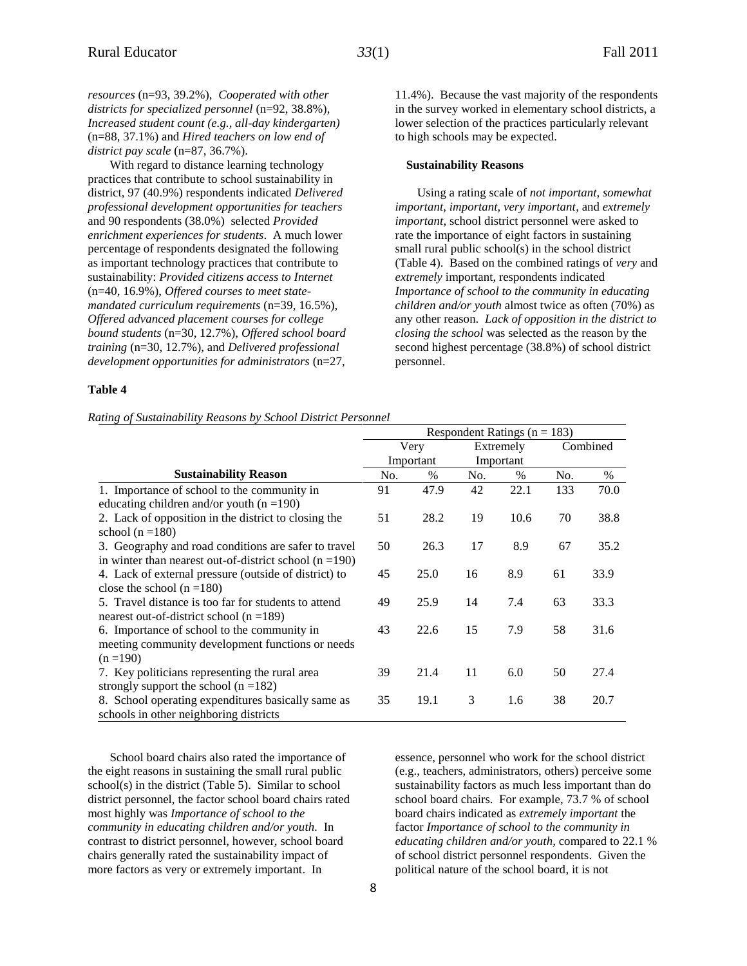*resources* (n=93, 39.2%), *Cooperated with other districts for specialized personnel* (n=92, 38.8%), *Increased student count (e.g., all-day kindergarten)* (n=88, 37.1%) and *Hired teachers on low end of district pay scale* (n=87, 36.7%).

With regard to distance learning technology practices that contribute to school sustainability in district, 97 (40.9%) respondents indicated *Delivered professional development opportunities for teachers* and 90 respondents (38.0%) selected *Provided enrichment experiences for students*. A much lower percentage of respondents designated the following as important technology practices that contribute to sustainability: *Provided citizens access to Internet* (n=40, 16.9%), *Offered courses to meet statemandated curriculum requirements* (n=39, 16.5%), *Offered advanced placement courses for college bound students* (n=30, 12.7%), *Offered school board training* (n=30, 12.7%), and *Delivered professional development opportunities for administrators* (n=27,

#### **Table 4**

*Rating of Sustainability Reasons by School District Personnel*

11.4%). Because the vast majority of the respondents in the survey worked in elementary school districts, a lower selection of the practices particularly relevant to high schools may be expected.

#### **Sustainability Reasons**

Using a rating scale of *not important, somewhat important, important, very important*, and *extremely important*, school district personnel were asked to rate the importance of eight factors in sustaining small rural public school(s) in the school district (Table 4). Based on the combined ratings of *very* and *extremely* important, respondents indicated *Importance of school to the community in educating children and/or youth* almost twice as often (70%) as any other reason. *Lack of opposition in the district to closing the school* was selected as the reason by the second highest percentage (38.8%) of school district personnel.

Respondent Ratings  $(n = 183)$ 

|                                                           |     | Very      |     | Extremely |     | Combined      |
|-----------------------------------------------------------|-----|-----------|-----|-----------|-----|---------------|
|                                                           |     | Important |     | Important |     |               |
| <b>Sustainability Reason</b>                              | No. | $\%$      | No. | $\%$      | No. | $\frac{0}{0}$ |
| 1. Importance of school to the community in               | 91  | 47.9      | 42  | 22.1      | 133 | 70.0          |
| educating children and/or youth $(n = 190)$               |     |           |     |           |     |               |
| 2. Lack of opposition in the district to closing the      | 51  | 28.2      | 19  | 10.6      | 70  | 38.8          |
| school ( $n = 180$ )                                      |     |           |     |           |     |               |
| 3. Geography and road conditions are safer to travel      | 50  | 26.3      | 17  | 8.9       | 67  | 35.2          |
| in winter than nearest out-of-district school $(n = 190)$ |     |           |     |           |     |               |
| 4. Lack of external pressure (outside of district) to     | 45  | 25.0      | 16  | 8.9       | 61  | 33.9          |
| close the school $(n = 180)$                              |     |           |     |           |     |               |
| 5. Travel distance is too far for students to attend      | 49  | 25.9      | 14  | 7.4       | 63  | 33.3          |
| nearest out-of-district school ( $n = 189$ )              |     |           |     |           |     |               |
| 6. Importance of school to the community in               | 43  | 22.6      | 15  | 7.9       | 58  | 31.6          |
| meeting community development functions or needs          |     |           |     |           |     |               |
| $(n = 190)$                                               |     |           |     |           |     |               |
| 7. Key politicians representing the rural area            | 39  | 21.4      | 11  | 6.0       | 50  | 27.4          |
| strongly support the school $(n = 182)$                   |     |           |     |           |     |               |
| 8. School operating expenditures basically same as        | 35  | 19.1      | 3   | 1.6       | 38  | 20.7          |
| schools in other neighboring districts                    |     |           |     |           |     |               |

School board chairs also rated the importance of the eight reasons in sustaining the small rural public school(s) in the district (Table 5). Similar to school district personnel, the factor school board chairs rated most highly was *Importance of school to the community in educating children and/or youth.* In contrast to district personnel, however, school board chairs generally rated the sustainability impact of more factors as very or extremely important. In

essence, personnel who work for the school district (e.g., teachers, administrators, others) perceive some sustainability factors as much less important than do school board chairs. For example, 73.7 % of school board chairs indicated as *extremely important* the factor *Importance of school to the community in educating children and/or youth,* compared to 22.1 % of school district personnel respondents. Given the political nature of the school board, it is not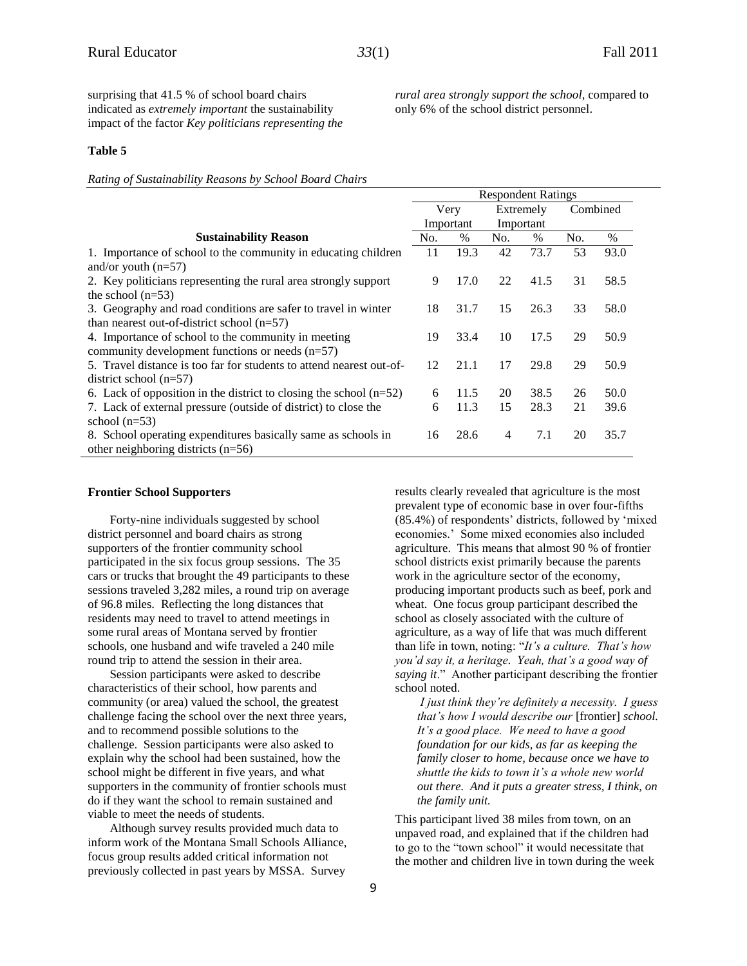surprising that 41.5 % of school board chairs indicated as *extremely important* the sustainability impact of the factor *Key politicians representing the*  *rural area strongly support the school,* compared to only 6% of the school district personnel.

Respondent Ratings

#### **Table 5**

*Rating of Sustainability Reasons by School Board Chairs*

|                                                                      | Respondent Ratings |           |                |           |          |      |
|----------------------------------------------------------------------|--------------------|-----------|----------------|-----------|----------|------|
|                                                                      |                    | Very      | Extremely      |           | Combined |      |
|                                                                      |                    | Important |                | Important |          |      |
| <b>Sustainability Reason</b>                                         | No.                | $\%$      | No.            | $\%$      | No.      | $\%$ |
| 1. Importance of school to the community in educating children       | 11                 | 19.3      | 42             | 73.7      | 53       | 93.0 |
| and/or youth $(n=57)$                                                |                    |           |                |           |          |      |
| 2. Key politicians representing the rural area strongly support      | 9                  | 17.0      | 22             | 41.5      | 31       | 58.5 |
| the school $(n=53)$                                                  |                    |           |                |           |          |      |
| 3. Geography and road conditions are safer to travel in winter       | 18                 | 31.7      | 15             | 26.3      | 33       | 58.0 |
| than nearest out-of-district school $(n=57)$                         |                    |           |                |           |          |      |
| 4. Importance of school to the community in meeting                  | 19                 | 33.4      | 10             | 17.5      | 29       | 50.9 |
| community development functions or needs $(n=57)$                    |                    |           |                |           |          |      |
| 5. Travel distance is too far for students to attend nearest out-of- | 12                 | 21.1      | 17             | 29.8      | 29       | 50.9 |
| district school $(n=57)$                                             |                    |           |                |           |          |      |
| 6. Lack of opposition in the district to closing the school $(n=52)$ | 6                  | 11.5      | 20             | 38.5      | 26       | 50.0 |
| 7. Lack of external pressure (outside of district) to close the      | 6                  | 11.3      | 15             | 28.3      | 21       | 39.6 |
| school $(n=53)$                                                      |                    |           |                |           |          |      |
| 8. School operating expenditures basically same as schools in        | 16                 | 28.6      | $\overline{4}$ | 7.1       | 20       | 35.7 |
| other neighboring districts $(n=56)$                                 |                    |           |                |           |          |      |

#### **Frontier School Supporters**

Forty-nine individuals suggested by school district personnel and board chairs as strong supporters of the frontier community school participated in the six focus group sessions. The 35 cars or trucks that brought the 49 participants to these sessions traveled 3,282 miles, a round trip on average of 96.8 miles. Reflecting the long distances that residents may need to travel to attend meetings in some rural areas of Montana served by frontier schools, one husband and wife traveled a 240 mile round trip to attend the session in their area.

Session participants were asked to describe characteristics of their school, how parents and community (or area) valued the school, the greatest challenge facing the school over the next three years, and to recommend possible solutions to the challenge. Session participants were also asked to explain why the school had been sustained, how the school might be different in five years, and what supporters in the community of frontier schools must do if they want the school to remain sustained and viable to meet the needs of students.

Although survey results provided much data to inform work of the Montana Small Schools Alliance, focus group results added critical information not previously collected in past years by MSSA. Survey

results clearly revealed that agriculture is the most prevalent type of economic base in over four-fifths (85.4%) of respondents' districts, followed by 'mixed economies.' Some mixed economies also included agriculture. This means that almost 90 % of frontier school districts exist primarily because the parents work in the agriculture sector of the economy, producing important products such as beef, pork and wheat. One focus group participant described the school as closely associated with the culture of agriculture, as a way of life that was much different than life in town, noting: "*It's a culture. That's how you'd say it, a heritage. Yeah, that's a good way of saying it*." Another participant describing the frontier school noted.

*I just think they're definitely a necessity. I guess that's how I would describe our* [frontier] *school. It's a good place. We need to have a good foundation for our kids, as far as keeping the family closer to home, because once we have to shuttle the kids to town it's a whole new world out there. And it puts a greater stress, I think, on the family unit.*

This participant lived 38 miles from town, on an unpaved road, and explained that if the children had to go to the "town school" it would necessitate that the mother and children live in town during the week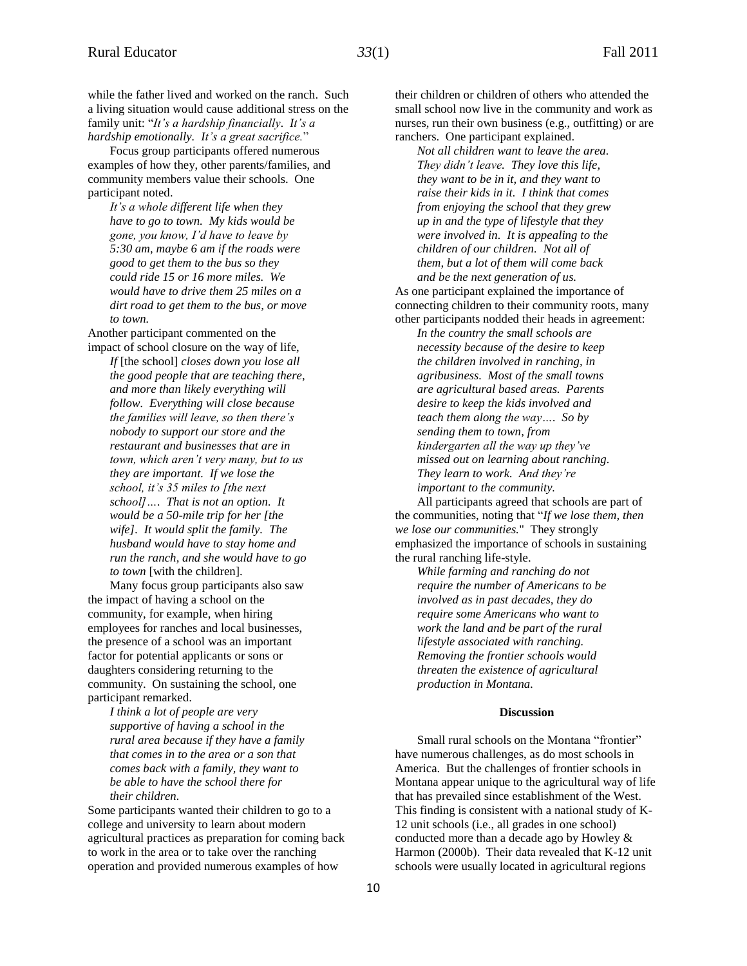while the father lived and worked on the ranch. Such a living situation would cause additional stress on the family unit: "*It's a hardship financially. It's a hardship emotionally. It's a great sacrifice.*"

Focus group participants offered numerous examples of how they, other parents/families, and community members value their schools. One participant noted.

*It's a whole different life when they have to go to town. My kids would be gone, you know, I'd have to leave by 5:30 am, maybe 6 am if the roads were good to get them to the bus so they could ride 15 or 16 more miles. We would have to drive them 25 miles on a dirt road to get them to the bus, or move to town.*

Another participant commented on the impact of school closure on the way of life,

*If* [the school] *closes down you lose all the good people that are teaching there, and more than likely everything will follow. Everything will close because the families will leave, so then there's nobody to support our store and the restaurant and businesses that are in town, which aren't very many, but to us they are important. If we lose the school, it's 35 miles to [the next school]…. That is not an option. It would be a 50-mile trip for her [the wife]. It would split the family. The husband would have to stay home and run the ranch, and she would have to go to town* [with the children].

Many focus group participants also saw the impact of having a school on the community, for example, when hiring employees for ranches and local businesses, the presence of a school was an important factor for potential applicants or sons or daughters considering returning to the community. On sustaining the school, one participant remarked.

> *I think a lot of people are very supportive of having a school in the rural area because if they have a family that comes in to the area or a son that comes back with a family, they want to be able to have the school there for their children.*

Some participants wanted their children to go to a college and university to learn about modern agricultural practices as preparation for coming back to work in the area or to take over the ranching operation and provided numerous examples of how

their children or children of others who attended the small school now live in the community and work as nurses, run their own business (e.g., outfitting) or are ranchers. One participant explained.

*Not all children want to leave the area. They didn't leave. They love this life, they want to be in it, and they want to raise their kids in it. I think that comes from enjoying the school that they grew up in and the type of lifestyle that they were involved in. It is appealing to the children of our children. Not all of them, but a lot of them will come back and be the next generation of us.*

As one participant explained the importance of connecting children to their community roots, many other participants nodded their heads in agreement:

*In the country the small schools are necessity because of the desire to keep the children involved in ranching, in agribusiness. Most of the small towns are agricultural based areas. Parents desire to keep the kids involved and teach them along the way…. So by sending them to town, from kindergarten all the way up they've missed out on learning about ranching. They learn to work. And they're important to the community.*

All participants agreed that schools are part of the communities, noting that "*If we lose them, then we lose our communities.*" They strongly emphasized the importance of schools in sustaining the rural ranching life-style.

*While farming and ranching do not require the number of Americans to be involved as in past decades, they do require some Americans who want to work the land and be part of the rural lifestyle associated with ranching. Removing the frontier schools would threaten the existence of agricultural production in Montana.*

#### **Discussion**

Small rural schools on the Montana "frontier" have numerous challenges, as do most schools in America. But the challenges of frontier schools in Montana appear unique to the agricultural way of life that has prevailed since establishment of the West. This finding is consistent with a national study of K-12 unit schools (i.e., all grades in one school) conducted more than a decade ago by Howley & Harmon (2000b). Their data revealed that K-12 unit schools were usually located in agricultural regions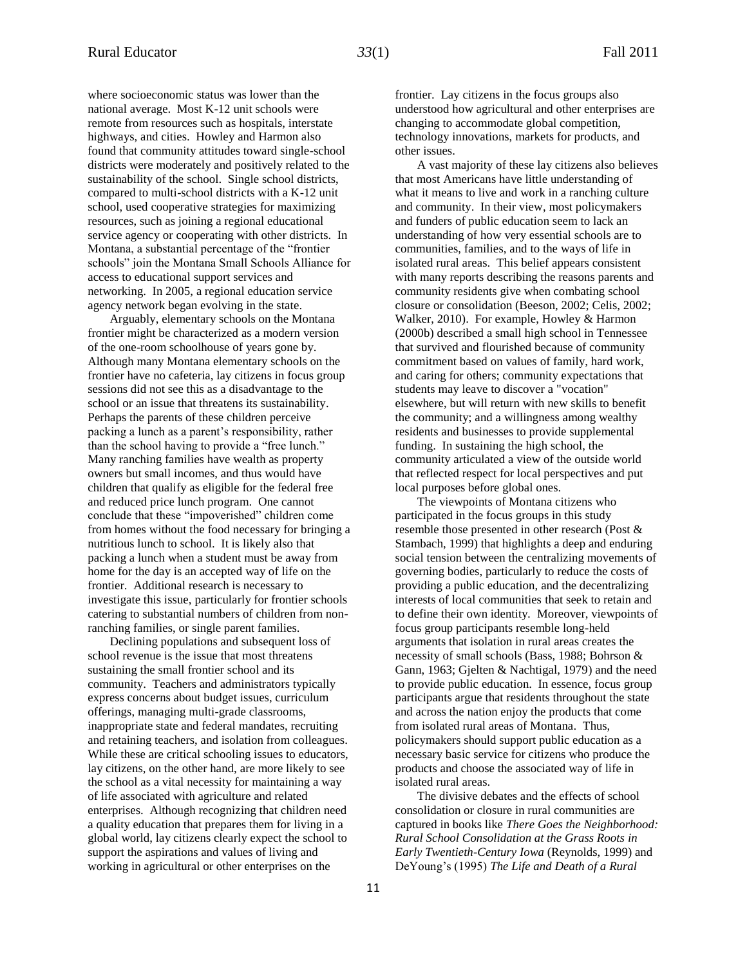where socioeconomic status was lower than the national average. Most K-12 unit schools were remote from resources such as hospitals, interstate highways, and cities. Howley and Harmon also found that community attitudes toward single-school districts were moderately and positively related to the sustainability of the school. Single school districts, compared to multi-school districts with a K-12 unit school, used cooperative strategies for maximizing resources, such as joining a regional educational service agency or cooperating with other districts. In Montana, a substantial percentage of the "frontier schools" join the Montana Small Schools Alliance for access to educational support services and networking. In 2005, a regional education service agency network began evolving in the state.

Arguably, elementary schools on the Montana frontier might be characterized as a modern version of the one-room schoolhouse of years gone by. Although many Montana elementary schools on the frontier have no cafeteria, lay citizens in focus group sessions did not see this as a disadvantage to the school or an issue that threatens its sustainability. Perhaps the parents of these children perceive packing a lunch as a parent's responsibility, rather than the school having to provide a "free lunch." Many ranching families have wealth as property owners but small incomes, and thus would have children that qualify as eligible for the federal free and reduced price lunch program. One cannot conclude that these "impoverished" children come from homes without the food necessary for bringing a nutritious lunch to school. It is likely also that packing a lunch when a student must be away from home for the day is an accepted way of life on the frontier. Additional research is necessary to investigate this issue, particularly for frontier schools catering to substantial numbers of children from nonranching families, or single parent families.

Declining populations and subsequent loss of school revenue is the issue that most threatens sustaining the small frontier school and its community. Teachers and administrators typically express concerns about budget issues, curriculum offerings, managing multi-grade classrooms, inappropriate state and federal mandates, recruiting and retaining teachers, and isolation from colleagues. While these are critical schooling issues to educators, lay citizens, on the other hand, are more likely to see the school as a vital necessity for maintaining a way of life associated with agriculture and related enterprises. Although recognizing that children need a quality education that prepares them for living in a global world, lay citizens clearly expect the school to support the aspirations and values of living and working in agricultural or other enterprises on the

frontier. Lay citizens in the focus groups also understood how agricultural and other enterprises are changing to accommodate global competition, technology innovations, markets for products, and other issues.

A vast majority of these lay citizens also believes that most Americans have little understanding of what it means to live and work in a ranching culture and community. In their view, most policymakers and funders of public education seem to lack an understanding of how very essential schools are to communities, families, and to the ways of life in isolated rural areas. This belief appears consistent with many reports describing the reasons parents and community residents give when combating school closure or consolidation (Beeson, 2002; Celis, 2002; Walker, 2010). For example, Howley & Harmon (2000b) described a small high school in Tennessee that survived and flourished because of community commitment based on values of family, hard work, and caring for others; community expectations that students may leave to discover a "vocation" elsewhere, but will return with new skills to benefit the community; and a willingness among wealthy residents and businesses to provide supplemental funding. In sustaining the high school, the community articulated a view of the outside world that reflected respect for local perspectives and put local purposes before global ones.

The viewpoints of Montana citizens who participated in the focus groups in this study resemble those presented in other research (Post & Stambach, 1999) that highlights a deep and enduring social tension between the centralizing movements of governing bodies, particularly to reduce the costs of providing a public education, and the decentralizing interests of local communities that seek to retain and to define their own identity*.* Moreover, viewpoints of focus group participants resemble long-held arguments that isolation in rural areas creates the necessity of small schools (Bass, 1988; Bohrson & Gann, 1963; Gjelten & Nachtigal, 1979) and the need to provide public education. In essence, focus group participants argue that residents throughout the state and across the nation enjoy the products that come from isolated rural areas of Montana. Thus, policymakers should support public education as a necessary basic service for citizens who produce the products and choose the associated way of life in isolated rural areas.

The divisive debates and the effects of school consolidation or closure in rural communities are captured in books like *There Goes the Neighborhood: Rural School Consolidation at the Grass Roots in Early Twentieth-Century Iowa* (Reynolds, 1999) and DeYoung's (1995) *The Life and Death of a Rural*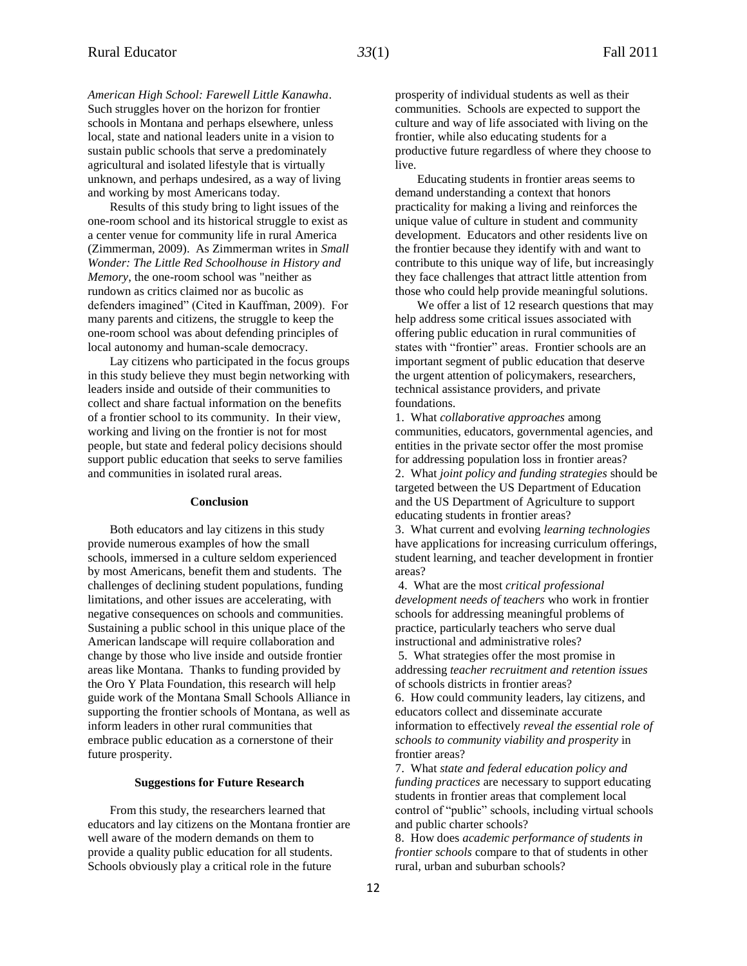*American High School: Farewell Little Kanawha*. Such struggles hover on the horizon for frontier schools in Montana and perhaps elsewhere, unless local, state and national leaders unite in a vision to sustain public schools that serve a predominately agricultural and isolated lifestyle that is virtually unknown, and perhaps undesired, as a way of living and working by most Americans today.

Results of this study bring to light issues of the one-room school and its historical struggle to exist as a center venue for community life in rural America (Zimmerman, 2009). As Zimmerman writes in *Small Wonder: The Little Red Schoolhouse in History and Memory*, the one-room school was "neither as rundown as critics claimed nor as bucolic as defenders imagined" (Cited in Kauffman, 2009). For many parents and citizens, the struggle to keep the one-room school was about defending principles of local autonomy and human-scale democracy.

Lay citizens who participated in the focus groups in this study believe they must begin networking with leaders inside and outside of their communities to collect and share factual information on the benefits of a frontier school to its community. In their view, working and living on the frontier is not for most people, but state and federal policy decisions should support public education that seeks to serve families and communities in isolated rural areas.

#### **Conclusion**

Both educators and lay citizens in this study provide numerous examples of how the small schools, immersed in a culture seldom experienced by most Americans, benefit them and students. The challenges of declining student populations, funding limitations, and other issues are accelerating, with negative consequences on schools and communities. Sustaining a public school in this unique place of the American landscape will require collaboration and change by those who live inside and outside frontier areas like Montana. Thanks to funding provided by the Oro Y Plata Foundation, this research will help guide work of the Montana Small Schools Alliance in supporting the frontier schools of Montana, as well as inform leaders in other rural communities that embrace public education as a cornerstone of their future prosperity.

#### **Suggestions for Future Research**

From this study, the researchers learned that educators and lay citizens on the Montana frontier are well aware of the modern demands on them to provide a quality public education for all students. Schools obviously play a critical role in the future

prosperity of individual students as well as their communities. Schools are expected to support the culture and way of life associated with living on the frontier, while also educating students for a productive future regardless of where they choose to live.

Educating students in frontier areas seems to demand understanding a context that honors practicality for making a living and reinforces the unique value of culture in student and community development. Educators and other residents live on the frontier because they identify with and want to contribute to this unique way of life, but increasingly they face challenges that attract little attention from those who could help provide meaningful solutions.

We offer a list of 12 research questions that may help address some critical issues associated with offering public education in rural communities of states with "frontier" areas. Frontier schools are an important segment of public education that deserve the urgent attention of policymakers, researchers, technical assistance providers, and private foundations.

1. What *collaborative approaches* among communities, educators, governmental agencies, and entities in the private sector offer the most promise for addressing population loss in frontier areas? 2. What *joint policy and funding strategies* should be targeted between the US Department of Education and the US Department of Agriculture to support educating students in frontier areas?

3. What current and evolving *learning technologies* have applications for increasing curriculum offerings, student learning, and teacher development in frontier areas?

4. What are the most *critical professional development needs of teachers* who work in frontier schools for addressing meaningful problems of practice, particularly teachers who serve dual instructional and administrative roles?

5. What strategies offer the most promise in addressing *teacher recruitment and retention issues* of schools districts in frontier areas?

6. How could community leaders, lay citizens, and educators collect and disseminate accurate information to effectively *reveal the essential role of schools to community viability and prosperity* in frontier areas?

7. What *state and federal education policy and funding practices* are necessary to support educating students in frontier areas that complement local control of "public" schools, including virtual schools and public charter schools?

8. How does *academic performance of students in frontier schools* compare to that of students in other rural, urban and suburban schools?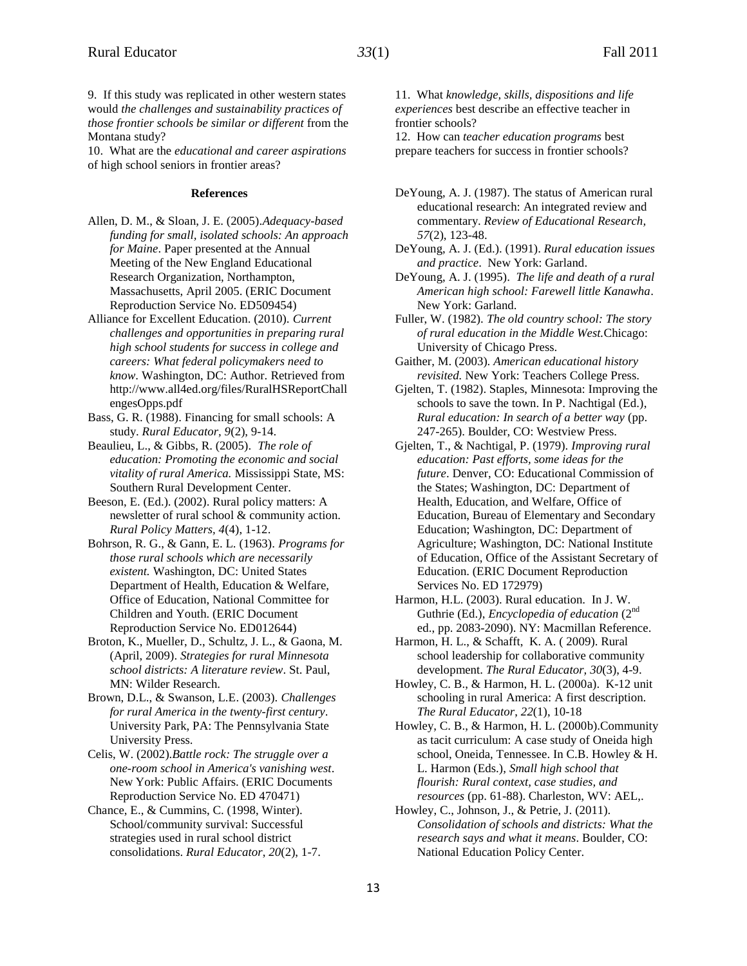9. If this study was replicated in other western states would *the challenges and sustainability practices of those frontier schools be similar or different* from the Montana study?

10. What are the *educational and career aspirations* of high school seniors in frontier areas?

#### **References**

- Allen, D. M., & Sloan, J. E. (2005).*Adequacy-based funding for small, isolated schools: An approach for Maine*. Paper presented at the Annual Meeting of the New England Educational Research Organization, Northampton, Massachusetts, April 2005. (ERIC Document Reproduction Service No. ED509454)
- Alliance for Excellent Education. (2010). *Current challenges and opportunities in preparing rural high school students for success in college and careers: What federal policymakers need to know*. Washington, DC: Author. Retrieved from http://www.all4ed.org/files/RuralHSReportChall engesOpps.pdf
- Bass, G. R. (1988). Financing for small schools: A study. *Rural Educator, 9*(2), 9-14.
- Beaulieu, L., & Gibbs, R. (2005). *The role of education: Promoting the economic and social vitality of rural America.* Mississippi State, MS: Southern Rural Development Center.
- Beeson, E. (Ed.). (2002). Rural policy matters: A newsletter of rural school & community action. *Rural Policy Matters, 4*(4), 1-12.
- Bohrson, R. G., & Gann, E. L. (1963). *[Programs for](http://www.eric.ed.gov/ERICWebPortal/search/recordDetails.jsp?searchtype=advanced&pageSize=10&ERICExtSearch_Operator_2=and&ERICExtSearch_SearchValue_0=%22rural+schools%22&ERICExtSearch_Operator_1=and&ERICExtSearch_SearchType_2=kw&eric_displayStartCount=11&ERICExtSearch_SearchType_1=kw&ERICExtSearch_SearchValue_1=necessarily+small&ERICExtSearch_SearchType_0=kw&ERICExtSearch_PubDate_From=0&ERICExtSearch_PubDate_To=2011&ERICExtSearch_SearchCount=2&_pageLabel=RecordDetails&objectId=0900019b800037df&accno=ED012644&_nfls=false%20%20%20%20)  [those rural schools which are necessarily](http://www.eric.ed.gov/ERICWebPortal/search/recordDetails.jsp?searchtype=advanced&pageSize=10&ERICExtSearch_Operator_2=and&ERICExtSearch_SearchValue_0=%22rural+schools%22&ERICExtSearch_Operator_1=and&ERICExtSearch_SearchType_2=kw&eric_displayStartCount=11&ERICExtSearch_SearchType_1=kw&ERICExtSearch_SearchValue_1=necessarily+small&ERICExtSearch_SearchType_0=kw&ERICExtSearch_PubDate_From=0&ERICExtSearch_PubDate_To=2011&ERICExtSearch_SearchCount=2&_pageLabel=RecordDetails&objectId=0900019b800037df&accno=ED012644&_nfls=false%20%20%20%20)  [existent.](http://www.eric.ed.gov/ERICWebPortal/search/recordDetails.jsp?searchtype=advanced&pageSize=10&ERICExtSearch_Operator_2=and&ERICExtSearch_SearchValue_0=%22rural+schools%22&ERICExtSearch_Operator_1=and&ERICExtSearch_SearchType_2=kw&eric_displayStartCount=11&ERICExtSearch_SearchType_1=kw&ERICExtSearch_SearchValue_1=necessarily+small&ERICExtSearch_SearchType_0=kw&ERICExtSearch_PubDate_From=0&ERICExtSearch_PubDate_To=2011&ERICExtSearch_SearchCount=2&_pageLabel=RecordDetails&objectId=0900019b800037df&accno=ED012644&_nfls=false%20%20%20%20)* Washington, DC: United States Department of Health, Education & Welfare, Office of Education, National Committee for Children and Youth. (ERIC Document Reproduction Service No. ED012644)
- Broton, K., Mueller, D., Schultz, J. L., & Gaona, M. (April, 2009). *Strategies for rural Minnesota school districts: A literature review*. St. Paul, MN: Wilder Research.
- Brown, D.L., & Swanson, L.E. (2003). *Challenges for rural America in the twenty-first century*. University Park, PA: The Pennsylvania State University Press.
- Celis, W. (2002).*Battle rock: The struggle over a one-room school in America's vanishing west*. New York: Public Affairs. (ERIC Documents Reproduction Service No. ED 470471)
- Chance, E., & Cummins, C. (1998, Winter). School/community survival: Successful strategies used in rural school district consolidations. *Rural Educator*, *20*(2), 1-7.

11. What *knowledge, skills, dispositions and life experiences* best describe an effective teacher in frontier schools?

12. How can *teacher education programs* best prepare teachers for success in frontier schools?

- DeYoung, A. J. (1987). The status of American rural educational research: An integrated review and commentary. *Review of Educational Research, 57*(2), 123-48.
- DeYoung, A. J. (Ed.). (1991). *Rural education issues and practice*. New York: Garland.
- DeYoung, A. J. (1995). *The life and death of a rural American high school: Farewell little Kanawha*. New York: Garland.
- Fuller, W. (1982). *The old country school: The story of rural education in the Middle West.*Chicago: University of Chicago Press.
- Gaither, M. (2003). *American educational history revisited.* New York: Teachers College Press.
- Gjelten, T. (1982). Staples, Minnesota: Improving the schools to save the town. In P. Nachtigal (Ed.), *Rural education: In search of a better way* (pp. 247-265). Boulder, CO: Westview Press.
- Gjelten, T., & Nachtigal, P. (1979). *Improving rural education: Past efforts, some ideas for the future*. Denver, CO: Educational Commission of the States; Washington, DC: Department of Health, Education, and Welfare, Office of Education, Bureau of Elementary and Secondary Education; Washington, DC: Department of Agriculture; Washington, DC: National Institute of Education, Office of the Assistant Secretary of Education. (ERIC Document Reproduction Services No. ED 172979)
- Harmon, H.L. (2003). Rural education. In J. W. Guthrie (Ed.), *Encyclopedia of education* (2nd ed., pp. 2083-2090). NY: Macmillan Reference.
- Harmon, H. L., & Schafft, K. A. ( 2009). Rural school leadership for collaborative community development. *The Rural Educator, 30*(3), 4-9.
- Howley, C. B., & Harmon, H. L. (2000a). K-12 unit schooling in rural America: A first description. *The Rural Educator*, *22*(1), 10-18
- Howley, C. B., & Harmon, H. L. (2000b).Community as tacit curriculum: A case study of Oneida high school, Oneida, Tennessee. In C.B. Howley & H. L. Harmon (Eds.), *Small high school that flourish: Rural context, case studies, and resources* (pp. 61-88). Charleston, WV: AEL,.
- Howley, C., Johnson, J., & Petrie, J. (2011). *Consolidation of schools and districts: What the research says and what it means*. Boulder, CO: National Education Policy Center.